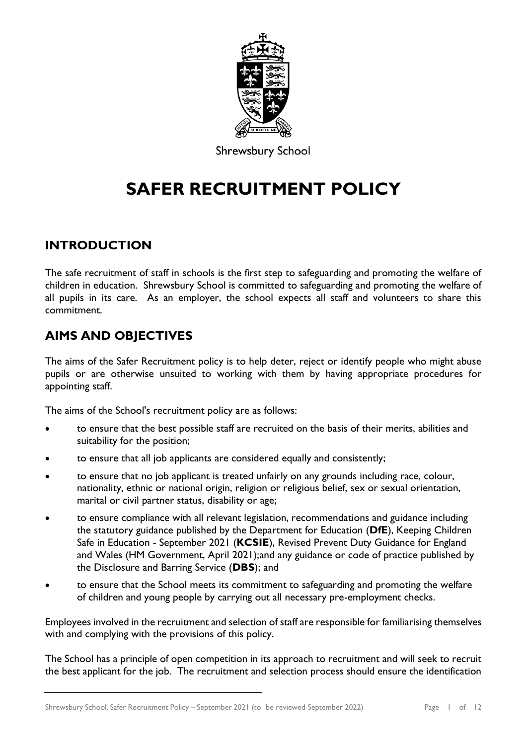

**Shrewsbury School** 

# **SAFER RECRUITMENT POLICY**

# **INTRODUCTION**

The safe recruitment of staff in schools is the first step to safeguarding and promoting the welfare of children in education. Shrewsbury School is committed to safeguarding and promoting the welfare of all pupils in its care. As an employer, the school expects all staff and volunteers to share this commitment.

# **AIMS AND OBJECTIVES**

The aims of the Safer Recruitment policy is to help deter, reject or identify people who might abuse pupils or are otherwise unsuited to working with them by having appropriate procedures for appointing staff.

The aims of the School's recruitment policy are as follows:

- to ensure that the best possible staff are recruited on the basis of their merits, abilities and suitability for the position;
- to ensure that all job applicants are considered equally and consistently;
- to ensure that no job applicant is treated unfairly on any grounds including race, colour, nationality, ethnic or national origin, religion or religious belief, sex or sexual orientation, marital or civil partner status, disability or age;
- to ensure compliance with all relevant legislation, recommendations and guidance including the statutory guidance published by the Department for Education (**DfE**), Keeping Children Safe in Education - September 2021 (**KCSIE**), Revised Prevent Duty Guidance for England and Wales (HM Government, April 2021);and any guidance or code of practice published by the Disclosure and Barring Service (**DBS**); and
- to ensure that the School meets its commitment to safeguarding and promoting the welfare of children and young people by carrying out all necessary pre-employment checks.

Employees involved in the recruitment and selection of staff are responsible for familiarising themselves with and complying with the provisions of this policy.

The School has a principle of open competition in its approach to recruitment and will seek to recruit the best applicant for the job. The recruitment and selection process should ensure the identification

Shrewsbury School, Safer Recruitment Policy – September 2021 (to be reviewed September 2022) Page 1 of 12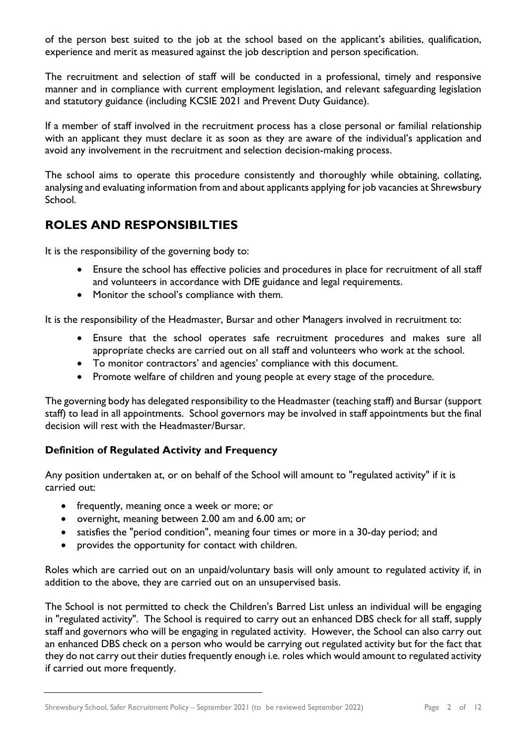of the person best suited to the job at the school based on the applicant's abilities, qualification, experience and merit as measured against the job description and person specification.

The recruitment and selection of staff will be conducted in a professional, timely and responsive manner and in compliance with current employment legislation, and relevant safeguarding legislation and statutory guidance (including KCSIE 2021 and Prevent Duty Guidance).

If a member of staff involved in the recruitment process has a close personal or familial relationship with an applicant they must declare it as soon as they are aware of the individual's application and avoid any involvement in the recruitment and selection decision-making process.

The school aims to operate this procedure consistently and thoroughly while obtaining, collating, analysing and evaluating information from and about applicants applying for job vacancies at Shrewsbury School.

# **ROLES AND RESPONSIBILTIES**

It is the responsibility of the governing body to:

- Ensure the school has effective policies and procedures in place for recruitment of all staff and volunteers in accordance with DfE guidance and legal requirements.
- Monitor the school's compliance with them.

It is the responsibility of the Headmaster, Bursar and other Managers involved in recruitment to:

- Ensure that the school operates safe recruitment procedures and makes sure all appropriate checks are carried out on all staff and volunteers who work at the school.
- To monitor contractors' and agencies' compliance with this document.
- Promote welfare of children and young people at every stage of the procedure.

The governing body has delegated responsibility to the Headmaster (teaching staff) and Bursar (support staff) to lead in all appointments. School governors may be involved in staff appointments but the final decision will rest with the Headmaster/Bursar.

# **Definition of Regulated Activity and Frequency**

Any position undertaken at, or on behalf of the School will amount to "regulated activity" if it is carried out:

- frequently, meaning once a week or more; or
- overnight, meaning between 2.00 am and 6.00 am; or
- satisfies the "period condition", meaning four times or more in a 30-day period; and
- provides the opportunity for contact with children.

Roles which are carried out on an unpaid/voluntary basis will only amount to regulated activity if, in addition to the above, they are carried out on an unsupervised basis.

The School is not permitted to check the Children's Barred List unless an individual will be engaging in "regulated activity". The School is required to carry out an enhanced DBS check for all staff, supply staff and governors who will be engaging in regulated activity. However, the School can also carry out an enhanced DBS check on a person who would be carrying out regulated activity but for the fact that they do not carry out their duties frequently enough i.e. roles which would amount to regulated activity if carried out more frequently.

Shrewsbury School, Safer Recruitment Policy – September 2021 (to be reviewed September 2022) Page 2 of 12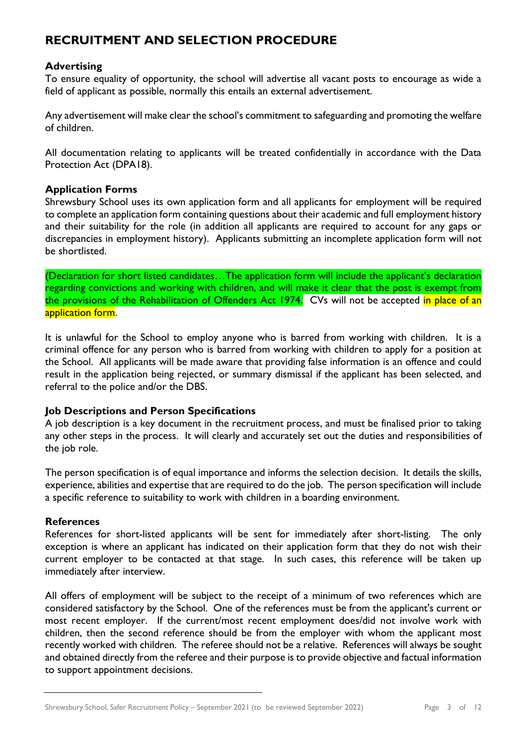# **RECRUITMENT AND SELECTION PROCEDURE**

#### **Advertising**

To ensure equality of opportunity, the school will advertise all vacant posts to encourage as wide a field of applicant as possible, normally this entails an external advertisement.

Any advertisement will make clear the school's commitment to safeguarding and promoting the welfare of children.

All documentation relating to applicants will be treated confidentially in accordance with the Data Protection Act (DPA18).

#### **Application Forms**

Shrewsbury School uses its own application form and all applicants for employment will be required to complete an application form containing questions about their academic and full employment history and their suitability for the role (in addition all applicants are required to account for any gaps or discrepancies in employment history). Applicants submitting an incomplete application form will not be shortlisted.

(Declaration for short listed candidates…The application form will include the applicant's declaration regarding convictions and working with children, and will make it clear that the post is exempt from the provisions of the Rehabilitation of Offenders Act 1974. CVs will not be accepted in place of an application form.

It is unlawful for the School to employ anyone who is barred from working with children. It is a criminal offence for any person who is barred from working with children to apply for a position at the School. All applicants will be made aware that providing false information is an offence and could result in the application being rejected, or summary dismissal if the applicant has been selected, and referral to the police and/or the DBS.

#### **Job Descriptions and Person Specifications**

A job description is a key document in the recruitment process, and must be finalised prior to taking any other steps in the process. It will clearly and accurately set out the duties and responsibilities of the job role.

The person specification is of equal importance and informs the selection decision. It details the skills, experience, abilities and expertise that are required to do the job. The person specification will include a specific reference to suitability to work with children in a boarding environment.

#### **References**

References for short-listed applicants will be sent for immediately after short-listing. The only exception is where an applicant has indicated on their application form that they do not wish their current employer to be contacted at that stage. In such cases, this reference will be taken up immediately after interview.

All offers of employment will be subject to the receipt of a minimum of two references which are considered satisfactory by the School. One of the references must be from the applicant's current or most recent employer. If the current/most recent employment does/did not involve work with children, then the second reference should be from the employer with whom the applicant most recently worked with children. The referee should not be a relative. References will always be sought and obtained directly from the referee and their purpose is to provide objective and factual information to support appointment decisions.

Shrewsbury School, Safer Recruitment Policy – September 2021 (to be reviewed September 2022) Page 3 of 12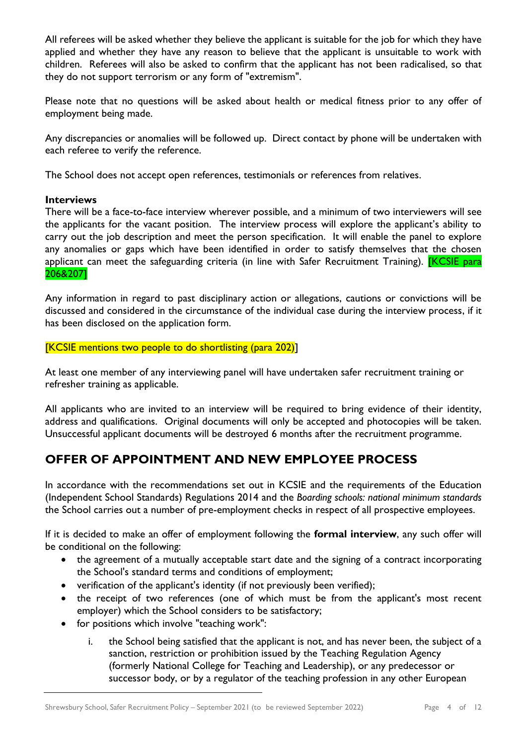All referees will be asked whether they believe the applicant is suitable for the job for which they have applied and whether they have any reason to believe that the applicant is unsuitable to work with children. Referees will also be asked to confirm that the applicant has not been radicalised, so that they do not support terrorism or any form of "extremism".

Please note that no questions will be asked about health or medical fitness prior to any offer of employment being made.

Any discrepancies or anomalies will be followed up. Direct contact by phone will be undertaken with each referee to verify the reference.

The School does not accept open references, testimonials or references from relatives.

#### **Interviews**

There will be a face-to-face interview wherever possible, and a minimum of two interviewers will see the applicants for the vacant position. The interview process will explore the applicant's ability to carry out the job description and meet the person specification. It will enable the panel to explore any anomalies or gaps which have been identified in order to satisfy themselves that the chosen applicant can meet the safeguarding criteria (in line with Safer Recruitment Training). **[KCSIE para** 206&207]

Any information in regard to past disciplinary action or allegations, cautions or convictions will be discussed and considered in the circumstance of the individual case during the interview process, if it has been disclosed on the application form.

[KCSIE mentions two people to do shortlisting (para 202)]

At least one member of any interviewing panel will have undertaken safer recruitment training or refresher training as applicable.

All applicants who are invited to an interview will be required to bring evidence of their identity, address and qualifications. Original documents will only be accepted and photocopies will be taken. Unsuccessful applicant documents will be destroyed 6 months after the recruitment programme.

# **OFFER OF APPOINTMENT AND NEW EMPLOYEE PROCESS**

In accordance with the recommendations set out in KCSIE and the requirements of the Education (Independent School Standards) Regulations 2014 and the *Boarding schools: national minimum standards* the School carries out a number of pre-employment checks in respect of all prospective employees.

If it is decided to make an offer of employment following the **formal interview**, any such offer will be conditional on the following:

- the agreement of a mutually acceptable start date and the signing of a contract incorporating the School's standard terms and conditions of employment;
- verification of the applicant's identity (if not previously been verified);
- the receipt of two references (one of which must be from the applicant's most recent employer) which the School considers to be satisfactory;
- for positions which involve "teaching work":
	- i. the School being satisfied that the applicant is not, and has never been, the subject of a sanction, restriction or prohibition issued by the Teaching Regulation Agency (formerly National College for Teaching and Leadership), or any predecessor or successor body, or by a regulator of the teaching profession in any other European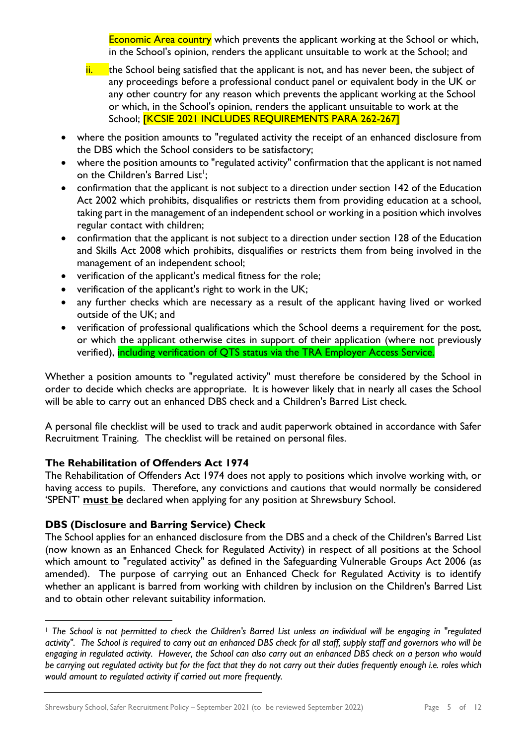Economic Area country which prevents the applicant working at the School or which, in the School's opinion, renders the applicant unsuitable to work at the School; and

- $\frac{1}{1}$  the School being satisfied that the applicant is not, and has never been, the subject of any proceedings before a professional conduct panel or equivalent body in the UK or any other country for any reason which prevents the applicant working at the School or which, in the School's opinion, renders the applicant unsuitable to work at the School; **[KCSIE 2021 INCLUDES REQUIREMENTS PARA 262-267]**
- where the position amounts to "regulated activity the receipt of an enhanced disclosure from the DBS which the School considers to be satisfactory;
- where the position amounts to "regulated activity" confirmation that the applicant is not named on the Children's Barred List<sup>1</sup>;
- confirmation that the applicant is not subject to a direction under section 142 of the Education Act 2002 which prohibits, disqualifies or restricts them from providing education at a school, taking part in the management of an independent school or working in a position which involves regular contact with children;
- confirmation that the applicant is not subject to a direction under section 128 of the Education and Skills Act 2008 which prohibits, disqualifies or restricts them from being involved in the management of an independent school;
- verification of the applicant's medical fitness for the role;
- verification of the applicant's right to work in the UK;
- any further checks which are necessary as a result of the applicant having lived or worked outside of the UK; and
- verification of professional qualifications which the School deems a requirement for the post, or which the applicant otherwise cites in support of their application (where not previously verified), including verification of QTS status via the TRA Employer Access Service.

Whether a position amounts to "regulated activity" must therefore be considered by the School in order to decide which checks are appropriate. It is however likely that in nearly all cases the School will be able to carry out an enhanced DBS check and a Children's Barred List check.

A personal file checklist will be used to track and audit paperwork obtained in accordance with Safer Recruitment Training. The checklist will be retained on personal files.

# **The Rehabilitation of Offenders Act 1974**

The Rehabilitation of Offenders Act 1974 does not apply to positions which involve working with, or having access to pupils. Therefore, any convictions and cautions that would normally be considered 'SPENT' **must be** declared when applying for any position at Shrewsbury School.

# **DBS (Disclosure and Barring Service) Check**

The School applies for an enhanced disclosure from the DBS and a check of the Children's Barred List (now known as an Enhanced Check for Regulated Activity) in respect of all positions at the School which amount to "regulated activity" as defined in the Safeguarding Vulnerable Groups Act 2006 (as amended). The purpose of carrying out an Enhanced Check for Regulated Activity is to identify whether an applicant is barred from working with children by inclusion on the Children's Barred List and to obtain other relevant suitability information.

<sup>1</sup> *The School is not permitted to check the Children's Barred List unless an individual will be engaging in "regulated activity". The School is required to carry out an enhanced DBS check for all staff, supply staff and governors who will be engaging in regulated activity. However, the School can also carry out an enhanced DBS check on a person who would be carrying out regulated activity but for the fact that they do not carry out their duties frequently enough i.e. roles which would amount to regulated activity if carried out more frequently.*

Shrewsbury School, Safer Recruitment Policy – September 2021 (to be reviewed September 2022) Page 5 of 12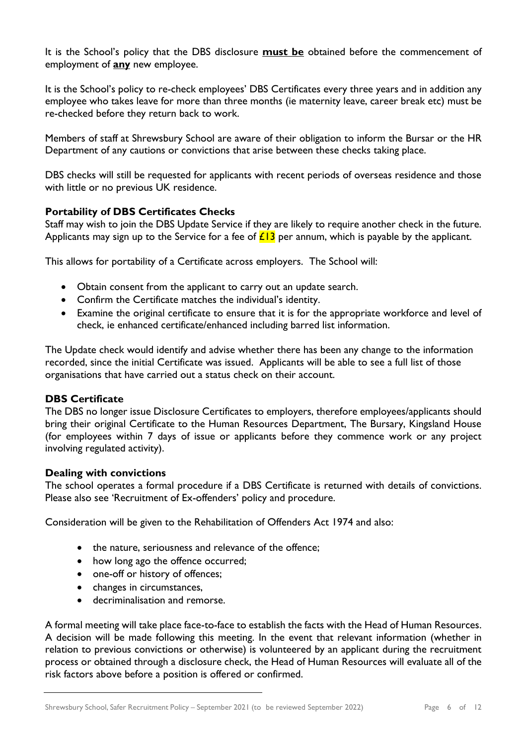It is the School's policy that the DBS disclosure **must be** obtained before the commencement of employment of **any** new employee.

It is the School's policy to re-check employees' DBS Certificates every three years and in addition any employee who takes leave for more than three months (ie maternity leave, career break etc) must be re-checked before they return back to work.

Members of staff at Shrewsbury School are aware of their obligation to inform the Bursar or the HR Department of any cautions or convictions that arise between these checks taking place.

DBS checks will still be requested for applicants with recent periods of overseas residence and those with little or no previous UK residence.

#### **Portability of DBS Certificates Checks**

Staff may wish to join the DBS Update Service if they are likely to require another check in the future. Applicants may sign up to the Service for a fee of  $\angle 13$  per annum, which is payable by the applicant.

This allows for portability of a Certificate across employers. The School will:

- Obtain consent from the applicant to carry out an update search.
- Confirm the Certificate matches the individual's identity.
- Examine the original certificate to ensure that it is for the appropriate workforce and level of check, ie enhanced certificate/enhanced including barred list information.

The Update check would identify and advise whether there has been any change to the information recorded, since the initial Certificate was issued. Applicants will be able to see a full list of those organisations that have carried out a status check on their account.

#### **DBS Certificate**

The DBS no longer issue Disclosure Certificates to employers, therefore employees/applicants should bring their original Certificate to the Human Resources Department, The Bursary, Kingsland House (for employees within 7 days of issue or applicants before they commence work or any project involving regulated activity).

#### **Dealing with convictions**

The school operates a formal procedure if a DBS Certificate is returned with details of convictions. Please also see 'Recruitment of Ex-offenders' policy and procedure.

Consideration will be given to the Rehabilitation of Offenders Act 1974 and also:

- the nature, seriousness and relevance of the offence;
- how long ago the offence occurred;
- one-off or history of offences;
- changes in circumstances,
- decriminalisation and remorse.

A formal meeting will take place face-to-face to establish the facts with the Head of Human Resources. A decision will be made following this meeting. In the event that relevant information (whether in relation to previous convictions or otherwise) is volunteered by an applicant during the recruitment process or obtained through a disclosure check, the Head of Human Resources will evaluate all of the risk factors above before a position is offered or confirmed.

Shrewsbury School, Safer Recruitment Policy – September 2021 (to be reviewed September 2022) Page 6 of 12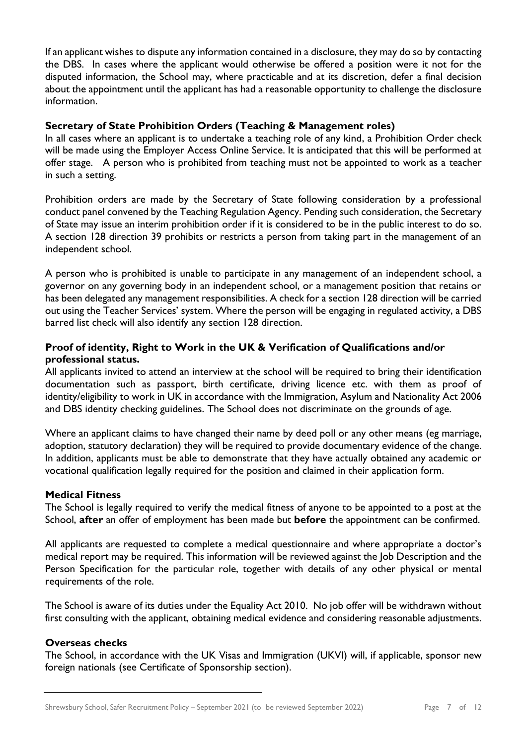If an applicant wishes to dispute any information contained in a disclosure, they may do so by contacting the DBS. In cases where the applicant would otherwise be offered a position were it not for the disputed information, the School may, where practicable and at its discretion, defer a final decision about the appointment until the applicant has had a reasonable opportunity to challenge the disclosure information.

#### **Secretary of State Prohibition Orders (Teaching & Management roles)**

In all cases where an applicant is to undertake a teaching role of any kind, a Prohibition Order check will be made using the Employer Access Online Service. It is anticipated that this will be performed at offer stage. A person who is prohibited from teaching must not be appointed to work as a teacher in such a setting.

Prohibition orders are made by the Secretary of State following consideration by a professional conduct panel convened by the Teaching Regulation Agency. Pending such consideration, the Secretary of State may issue an interim prohibition order if it is considered to be in the public interest to do so. A section 128 direction 39 prohibits or restricts a person from taking part in the management of an independent school.

A person who is prohibited is unable to participate in any management of an independent school, a governor on any governing body in an independent school, or a management position that retains or has been delegated any management responsibilities. A check for a section 128 direction will be carried out using the Teacher Services' system. Where the person will be engaging in regulated activity, a DBS barred list check will also identify any section 128 direction.

# **Proof of identity, Right to Work in the UK & Verification of Qualifications and/or professional status.**

All applicants invited to attend an interview at the school will be required to bring their identification documentation such as passport, birth certificate, driving licence etc. with them as proof of identity/eligibility to work in UK in accordance with the Immigration, Asylum and Nationality Act 2006 and DBS identity checking guidelines. The School does not discriminate on the grounds of age.

Where an applicant claims to have changed their name by deed poll or any other means (eg marriage, adoption, statutory declaration) they will be required to provide documentary evidence of the change. In addition, applicants must be able to demonstrate that they have actually obtained any academic or vocational qualification legally required for the position and claimed in their application form.

# **Medical Fitness**

The School is legally required to verify the medical fitness of anyone to be appointed to a post at the School, **after** an offer of employment has been made but **before** the appointment can be confirmed.

All applicants are requested to complete a medical questionnaire and where appropriate a doctor's medical report may be required. This information will be reviewed against the Job Description and the Person Specification for the particular role, together with details of any other physical or mental requirements of the role.

The School is aware of its duties under the Equality Act 2010. No job offer will be withdrawn without first consulting with the applicant, obtaining medical evidence and considering reasonable adjustments.

#### **Overseas checks**

The School, in accordance with the UK Visas and Immigration (UKVI) will, if applicable, sponsor new foreign nationals (see Certificate of Sponsorship section).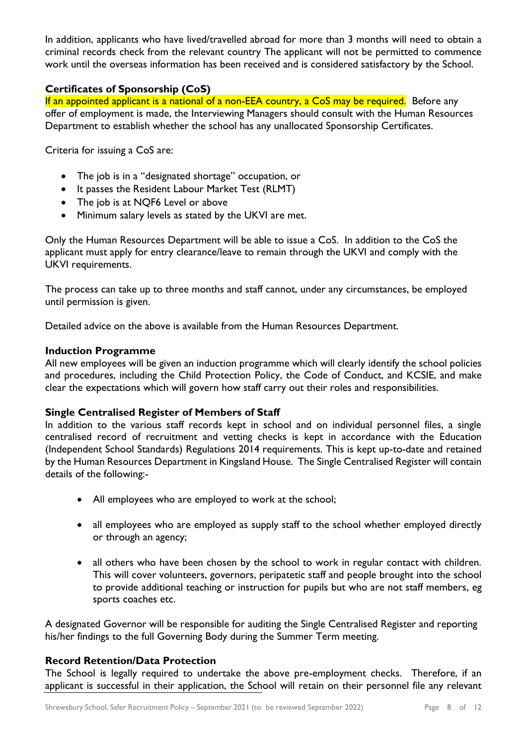In addition, applicants who have lived/travelled abroad for more than 3 months will need to obtain a criminal records check from the relevant country The applicant will not be permitted to commence work until the overseas information has been received and is considered satisfactory by the School.

# **Certificates of Sponsorship (CoS)**

If an appointed applicant is a national of a non-EEA country, a CoS may be required. Before any offer of employment is made, the Interviewing Managers should consult with the Human Resources Department to establish whether the school has any unallocated Sponsorship Certificates.

Criteria for issuing a CoS are:

- The job is in a "designated shortage" occupation, or
- It passes the Resident Labour Market Test (RLMT)
- The job is at NQF6 Level or above
- Minimum salary levels as stated by the UKVI are met.

Only the Human Resources Department will be able to issue a CoS. In addition to the CoS the applicant must apply for entry clearance/leave to remain through the UKVI and comply with the UKVI requirements.

The process can take up to three months and staff cannot, under any circumstances, be employed until permission is given.

Detailed advice on the above is available from the Human Resources Department.

#### **Induction Programme**

All new employees will be given an induction programme which will clearly identify the school policies and procedures, including the Child Protection Policy, the Code of Conduct, and KCSIE, and make clear the expectations which will govern how staff carry out their roles and responsibilities.

# **Single Centralised Register of Members of Staff**

In addition to the various staff records kept in school and on individual personnel files, a single centralised record of recruitment and vetting checks is kept in accordance with the Education (Independent School Standards) Regulations 2014 requirements. This is kept up-to-date and retained by the Human Resources Department in Kingsland House. The Single Centralised Register will contain details of the following:-

- All employees who are employed to work at the school;
- all employees who are employed as supply staff to the school whether employed directly or through an agency;
- all others who have been chosen by the school to work in regular contact with children. This will cover volunteers, governors, peripatetic staff and people brought into the school to provide additional teaching or instruction for pupils but who are not staff members, eg sports coaches etc.

A designated Governor will be responsible for auditing the Single Centralised Register and reporting his/her findings to the full Governing Body during the Summer Term meeting.

# **Record Retention/Data Protection**

The School is legally required to undertake the above pre-employment checks. Therefore, if an applicant is successful in their application, the School will retain on their personnel file any relevant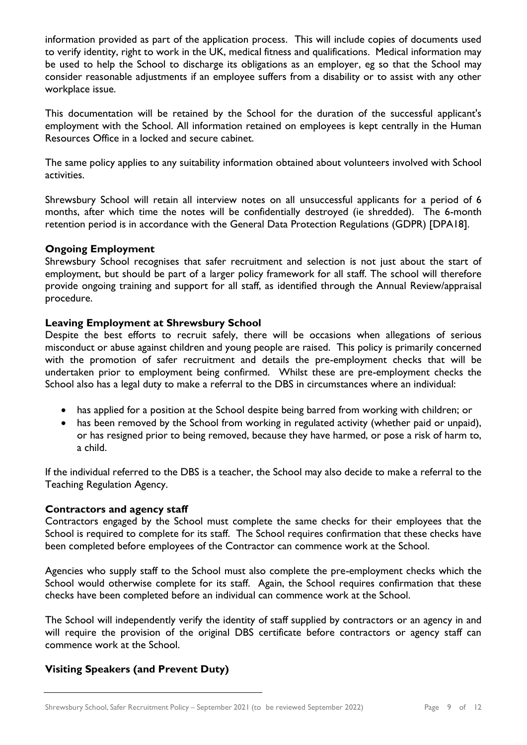information provided as part of the application process. This will include copies of documents used to verify identity, right to work in the UK, medical fitness and qualifications. Medical information may be used to help the School to discharge its obligations as an employer, eg so that the School may consider reasonable adjustments if an employee suffers from a disability or to assist with any other workplace issue.

This documentation will be retained by the School for the duration of the successful applicant's employment with the School. All information retained on employees is kept centrally in the Human Resources Office in a locked and secure cabinet.

The same policy applies to any suitability information obtained about volunteers involved with School activities.

Shrewsbury School will retain all interview notes on all unsuccessful applicants for a period of 6 months, after which time the notes will be confidentially destroyed (ie shredded). The 6-month retention period is in accordance with the General Data Protection Regulations (GDPR) [DPA18].

#### **Ongoing Employment**

Shrewsbury School recognises that safer recruitment and selection is not just about the start of employment, but should be part of a larger policy framework for all staff. The school will therefore provide ongoing training and support for all staff, as identified through the Annual Review/appraisal procedure.

#### **Leaving Employment at Shrewsbury School**

Despite the best efforts to recruit safely, there will be occasions when allegations of serious misconduct or abuse against children and young people are raised. This policy is primarily concerned with the promotion of safer recruitment and details the pre-employment checks that will be undertaken prior to employment being confirmed. Whilst these are pre-employment checks the School also has a legal duty to make a referral to the DBS in circumstances where an individual:

- has applied for a position at the School despite being barred from working with children; or
- has been removed by the School from working in regulated activity (whether paid or unpaid), or has resigned prior to being removed, because they have harmed, or pose a risk of harm to, a child.

If the individual referred to the DBS is a teacher, the School may also decide to make a referral to the Teaching Regulation Agency.

#### **Contractors and agency staff**

Contractors engaged by the School must complete the same checks for their employees that the School is required to complete for its staff. The School requires confirmation that these checks have been completed before employees of the Contractor can commence work at the School.

Agencies who supply staff to the School must also complete the pre-employment checks which the School would otherwise complete for its staff. Again, the School requires confirmation that these checks have been completed before an individual can commence work at the School.

The School will independently verify the identity of staff supplied by contractors or an agency in and will require the provision of the original DBS certificate before contractors or agency staff can commence work at the School.

# **Visiting Speakers (and Prevent Duty)**

Shrewsbury School, Safer Recruitment Policy – September 2021 (to be reviewed September 2022) Page 9 of 12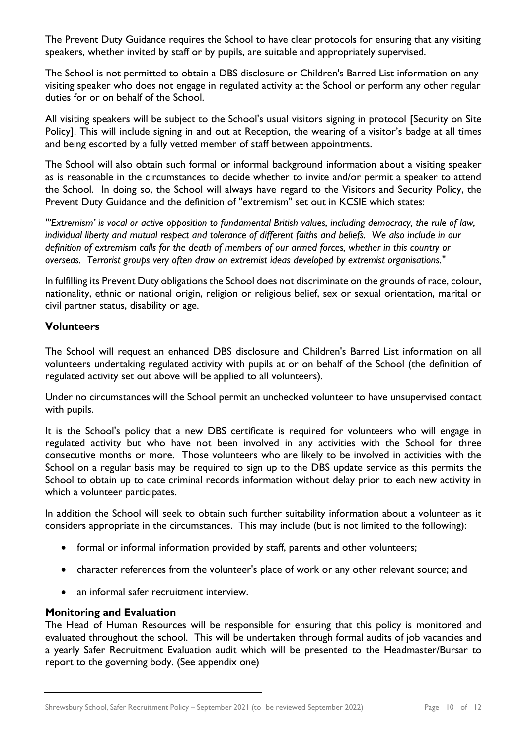The Prevent Duty Guidance requires the School to have clear protocols for ensuring that any visiting speakers, whether invited by staff or by pupils, are suitable and appropriately supervised.

The School is not permitted to obtain a DBS disclosure or Children's Barred List information on any visiting speaker who does not engage in regulated activity at the School or perform any other regular duties for or on behalf of the School.

All visiting speakers will be subject to the School's usual visitors signing in protocol [Security on Site Policy]. This will include signing in and out at Reception, the wearing of a visitor's badge at all times and being escorted by a fully vetted member of staff between appointments.

The School will also obtain such formal or informal background information about a visiting speaker as is reasonable in the circumstances to decide whether to invite and/or permit a speaker to attend the School. In doing so, the School will always have regard to the Visitors and Security Policy, the Prevent Duty Guidance and the definition of "extremism" set out in KCSIE which states:

*"'Extremism' is vocal or active opposition to fundamental British values, including democracy, the rule of law, individual liberty and mutual respect and tolerance of different faiths and beliefs. We also include in our definition of extremism calls for the death of members of our armed forces, whether in this country or overseas. Terrorist groups very often draw on extremist ideas developed by extremist organisations.*"

In fulfilling its Prevent Duty obligations the School does not discriminate on the grounds of race, colour, nationality, ethnic or national origin, religion or religious belief, sex or sexual orientation, marital or civil partner status, disability or age.

# **Volunteers**

The School will request an enhanced DBS disclosure and Children's Barred List information on all volunteers undertaking regulated activity with pupils at or on behalf of the School (the definition of regulated activity set out above will be applied to all volunteers).

Under no circumstances will the School permit an unchecked volunteer to have unsupervised contact with pupils.

It is the School's policy that a new DBS certificate is required for volunteers who will engage in regulated activity but who have not been involved in any activities with the School for three consecutive months or more. Those volunteers who are likely to be involved in activities with the School on a regular basis may be required to sign up to the DBS update service as this permits the School to obtain up to date criminal records information without delay prior to each new activity in which a volunteer participates.

In addition the School will seek to obtain such further suitability information about a volunteer as it considers appropriate in the circumstances. This may include (but is not limited to the following):

- formal or informal information provided by staff, parents and other volunteers;
- character references from the volunteer's place of work or any other relevant source; and
- an informal safer recruitment interview.

# **Monitoring and Evaluation**

The Head of Human Resources will be responsible for ensuring that this policy is monitored and evaluated throughout the school. This will be undertaken through formal audits of job vacancies and a yearly Safer Recruitment Evaluation audit which will be presented to the Headmaster/Bursar to report to the governing body. (See appendix one)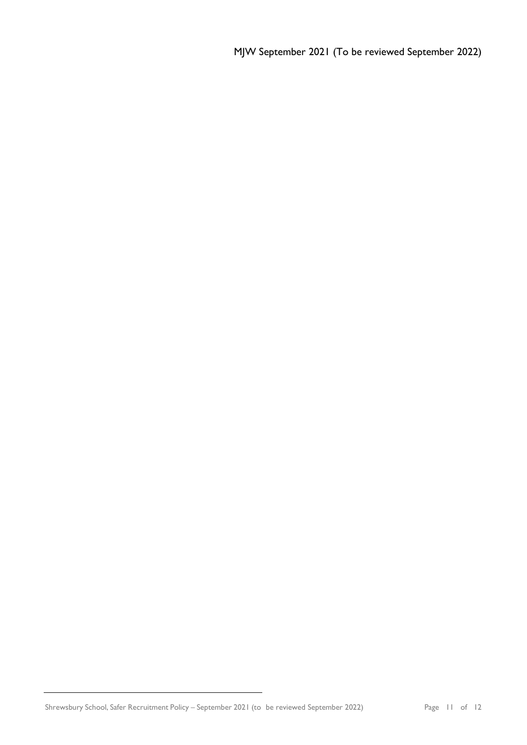MJW September 2021 (To be reviewed September 2022)